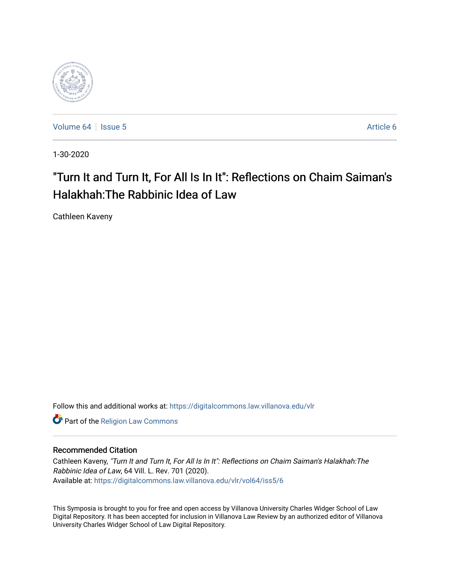

[Volume 64](https://digitalcommons.law.villanova.edu/vlr/vol64) | [Issue 5](https://digitalcommons.law.villanova.edu/vlr/vol64/iss5) [Article 6](https://digitalcommons.law.villanova.edu/vlr/vol64/iss5/6) Article 6

1-30-2020

# "Turn It and Turn It, For All Is In It": Reflections on Chaim Saiman's Halakhah:The Rabbinic Idea of Law

Cathleen Kaveny

Follow this and additional works at: [https://digitalcommons.law.villanova.edu/vlr](https://digitalcommons.law.villanova.edu/vlr?utm_source=digitalcommons.law.villanova.edu%2Fvlr%2Fvol64%2Fiss5%2F6&utm_medium=PDF&utm_campaign=PDFCoverPages)

**Part of the [Religion Law Commons](http://network.bepress.com/hgg/discipline/872?utm_source=digitalcommons.law.villanova.edu%2Fvlr%2Fvol64%2Fiss5%2F6&utm_medium=PDF&utm_campaign=PDFCoverPages)** 

## Recommended Citation

Cathleen Kaveny, "Turn It and Turn It, For All Is In It": Reflections on Chaim Saiman's Halakhah:The Rabbinic Idea of Law, 64 Vill. L. Rev. 701 (2020). Available at: [https://digitalcommons.law.villanova.edu/vlr/vol64/iss5/6](https://digitalcommons.law.villanova.edu/vlr/vol64/iss5/6?utm_source=digitalcommons.law.villanova.edu%2Fvlr%2Fvol64%2Fiss5%2F6&utm_medium=PDF&utm_campaign=PDFCoverPages) 

This Symposia is brought to you for free and open access by Villanova University Charles Widger School of Law Digital Repository. It has been accepted for inclusion in Villanova Law Review by an authorized editor of Villanova University Charles Widger School of Law Digital Repository.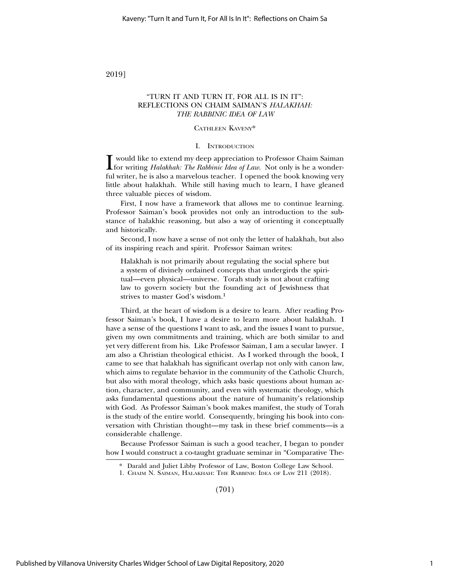2019]

## "TURN IT AND TURN IT, FOR ALL IS IN IT": REFLECTIONS ON CHAIM SAIMAN'S *HALAKHAH: THE RABBINIC IDEA OF LAW*

## CATHLEEN KAVENY\*

#### I. INTRODUCTION

**I** would like to extend my deep appreciation to Professor Chaim Saiman<br>for writing *Halakhah: The Rabbinic Idea of Law*. Not only is he a wonder-<br>ful virting he is also a magneleus teacher. I appeal the health in aving ve would like to extend my deep appreciation to Professor Chaim Saiman ful writer, he is also a marvelous teacher. I opened the book knowing very little about halakhah. While still having much to learn, I have gleaned three valuable pieces of wisdom.

First, I now have a framework that allows me to continue learning. Professor Saiman's book provides not only an introduction to the substance of halakhic reasoning, but also a way of orienting it conceptually and historically.

Second, I now have a sense of not only the letter of halakhah, but also of its inspiring reach and spirit. Professor Saiman writes:

Halakhah is not primarily about regulating the social sphere but a system of divinely ordained concepts that undergirds the spiritual—even physical—universe. Torah study is not about crafting law to govern society but the founding act of Jewishness that strives to master God's wisdom.1

Third, at the heart of wisdom is a desire to learn. After reading Professor Saiman's book, I have a desire to learn more about halakhah. I have a sense of the questions I want to ask, and the issues I want to pursue, given my own commitments and training, which are both similar to and yet very different from his. Like Professor Saiman, I am a secular lawyer. I am also a Christian theological ethicist. As I worked through the book, I came to see that halakhah has significant overlap not only with canon law, which aims to regulate behavior in the community of the Catholic Church, but also with moral theology, which asks basic questions about human action, character, and community, and even with systematic theology, which asks fundamental questions about the nature of humanity's relationship with God. As Professor Saiman's book makes manifest, the study of Torah is the study of the entire world. Consequently, bringing his book into conversation with Christian thought—my task in these brief comments—is a considerable challenge.

Because Professor Saiman is such a good teacher, I began to ponder how I would construct a co-taught graduate seminar in "Comparative The-

(701)

<sup>\*</sup> Darald and Juliet Libby Professor of Law, Boston College Law School.

<sup>1.</sup> CHAIM N. SAIMAN, HALAKHAH: THE RABBINIC IDEA OF LAW 211 (2018).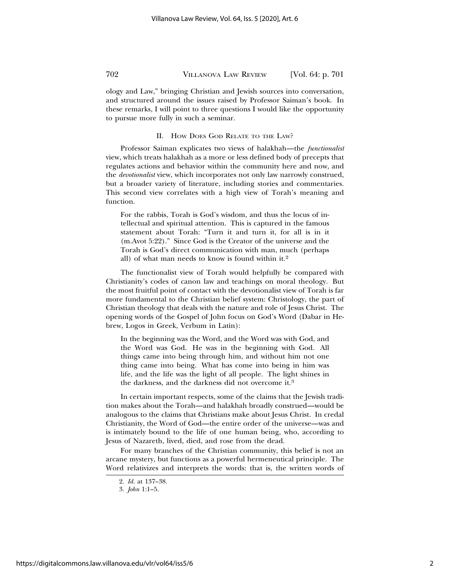ology and Law," bringing Christian and Jewish sources into conversation, and structured around the issues raised by Professor Saiman's book. In these remarks, I will point to three questions I would like the opportunity to pursue more fully in such a seminar.

#### II. HOW DOES GOD RELATE TO THE LAW?

Professor Saiman explicates two views of halakhah—the *functionalist* view, which treats halakhah as a more or less defined body of precepts that regulates actions and behavior within the community here and now, and the *devotionalist* view, which incorporates not only law narrowly construed, but a broader variety of literature, including stories and commentaries. This second view correlates with a high view of Torah's meaning and function.

For the rabbis, Torah is God's wisdom, and thus the locus of intellectual and spiritual attention. This is captured in the famous statement about Torah: "Turn it and turn it, for all is in it (m.Avot 5:22)." Since God is the Creator of the universe and the Torah is God's direct communication with man, much (perhaps all) of what man needs to know is found within it.2

The functionalist view of Torah would helpfully be compared with Christianity's codes of canon law and teachings on moral theology. But the most fruitful point of contact with the devotionalist view of Torah is far more fundamental to the Christian belief system: Christology, the part of Christian theology that deals with the nature and role of Jesus Christ. The opening words of the Gospel of John focus on God's Word (Dabar in Hebrew, Logos in Greek, Verbum in Latin):

In the beginning was the Word, and the Word was with God, and the Word was God. He was in the beginning with God. All things came into being through him, and without him not one thing came into being. What has come into being in him was life, and the life was the light of all people. The light shines in the darkness, and the darkness did not overcome it.3

In certain important respects, some of the claims that the Jewish tradition makes about the Torah—and halakhah broadly construed—would be analogous to the claims that Christians make about Jesus Christ. In credal Christianity, the Word of God—the entire order of the universe—was and is intimately bound to the life of one human being, who, according to Jesus of Nazareth, lived, died, and rose from the dead.

For many branches of the Christian community, this belief is not an arcane mystery, but functions as a powerful hermeneutical principle. The Word relativizes and interprets the words: that is, the written words of

<sup>2.</sup> *Id.* at 137–38.

<sup>3.</sup> *John* 1:1–5.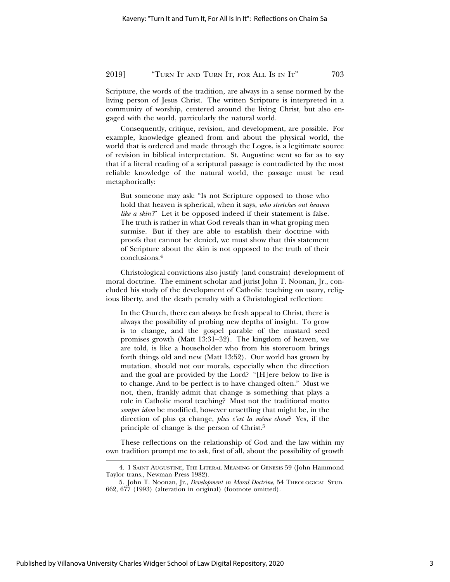## 2019] "TURN IT AND TURN IT, FOR ALL IS IN IT" 703

Scripture, the words of the tradition, are always in a sense normed by the living person of Jesus Christ. The written Scripture is interpreted in a community of worship, centered around the living Christ, but also engaged with the world, particularly the natural world.

Consequently, critique, revision, and development, are possible. For example, knowledge gleaned from and about the physical world, the world that is ordered and made through the Logos, is a legitimate source of revision in biblical interpretation. St. Augustine went so far as to say that if a literal reading of a scriptural passage is contradicted by the most reliable knowledge of the natural world, the passage must be read metaphorically:

But someone may ask: "Is not Scripture opposed to those who hold that heaven is spherical, when it says, *who stretches out heaven like a skin?*" Let it be opposed indeed if their statement is false. The truth is rather in what God reveals than in what groping men surmise. But if they are able to establish their doctrine with proofs that cannot be denied, we must show that this statement of Scripture about the skin is not opposed to the truth of their conclusions.<sup>4</sup>

Christological convictions also justify (and constrain) development of moral doctrine. The eminent scholar and jurist John T. Noonan, Jr., concluded his study of the development of Catholic teaching on usury, religious liberty, and the death penalty with a Christological reflection:

In the Church, there can always be fresh appeal to Christ, there is always the possibility of probing new depths of insight. To grow is to change, and the gospel parable of the mustard seed promises growth (Matt 13:31–32). The kingdom of heaven, we are told, is like a householder who from his storeroom brings forth things old and new (Matt 13:52). Our world has grown by mutation, should not our morals, especially when the direction and the goal are provided by the Lord? "[H]ere below to live is to change. And to be perfect is to have changed often." Must we not, then, frankly admit that change is something that plays a role in Catholic moral teaching? Must not the traditional motto *semper idem* be modified, however unsettling that might be, in the direction of plus ça change, *plus c'est la même chose*? Yes, if the principle of change is the person of Christ.5

These reflections on the relationship of God and the law within my own tradition prompt me to ask, first of all, about the possibility of growth

<sup>4. 1</sup> SAINT AUGUSTINE, THE LITERAL MEANING OF GENESIS 59 (John Hammond Taylor trans., Newman Press 1982).

<sup>5.</sup> John T. Noonan, Jr., *Development in Moral Doctrine*, 54 THEOLOGICAL STUD. 662, 677 (1993) (alteration in original) (footnote omitted).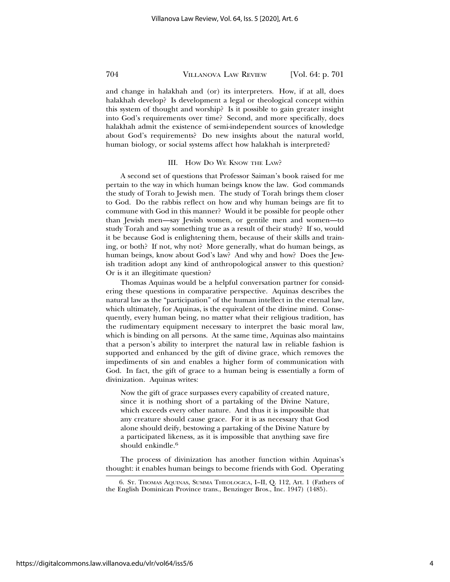and change in halakhah and (or) its interpreters. How, if at all, does halakhah develop? Is development a legal or theological concept within this system of thought and worship? Is it possible to gain greater insight into God's requirements over time? Second, and more specifically, does halakhah admit the existence of semi-independent sources of knowledge about God's requirements? Do new insights about the natural world, human biology, or social systems affect how halakhah is interpreted?

#### III. How Do We KNOW THE LAW?

A second set of questions that Professor Saiman's book raised for me pertain to the way in which human beings know the law. God commands the study of Torah to Jewish men. The study of Torah brings them closer to God. Do the rabbis reflect on how and why human beings are fit to commune with God in this manner? Would it be possible for people other than Jewish men—say Jewish women, or gentile men and women—to study Torah and say something true as a result of their study? If so, would it be because God is enlightening them, because of their skills and training, or both? If not, why not? More generally, what do human beings, as human beings, know about God's law? And why and how? Does the Jewish tradition adopt any kind of anthropological answer to this question? Or is it an illegitimate question?

Thomas Aquinas would be a helpful conversation partner for considering these questions in comparative perspective. Aquinas describes the natural law as the "participation" of the human intellect in the eternal law, which ultimately, for Aquinas, is the equivalent of the divine mind. Consequently, every human being, no matter what their religious tradition, has the rudimentary equipment necessary to interpret the basic moral law, which is binding on all persons. At the same time, Aquinas also maintains that a person's ability to interpret the natural law in reliable fashion is supported and enhanced by the gift of divine grace, which removes the impediments of sin and enables a higher form of communication with God. In fact, the gift of grace to a human being is essentially a form of divinization. Aquinas writes:

Now the gift of grace surpasses every capability of created nature, since it is nothing short of a partaking of the Divine Nature, which exceeds every other nature. And thus it is impossible that any creature should cause grace. For it is as necessary that God alone should deify, bestowing a partaking of the Divine Nature by a participated likeness, as it is impossible that anything save fire should enkindle.<sup>6</sup>

The process of divinization has another function within Aquinas's thought: it enables human beings to become friends with God. Operating

<sup>6.</sup> ST. THOMAS AQUINAS, SUMMA THEOLOGICA, I–II, Q. 112, Art. 1 (Fathers of the English Dominican Province trans., Benzinger Bros., Inc. 1947) (1485).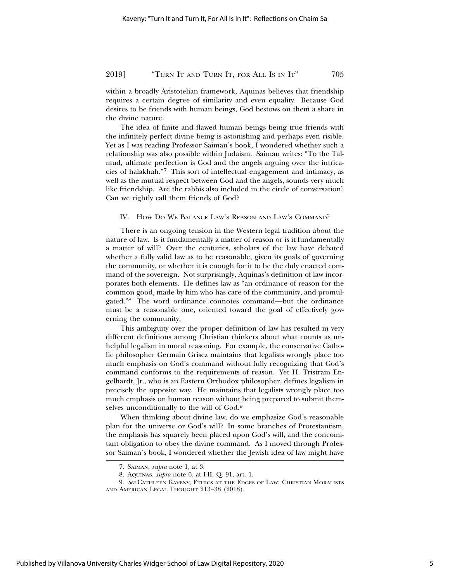## 2019] "TURN IT AND TURN IT, FOR ALL IS IN IT" 705

within a broadly Aristotelian framework, Aquinas believes that friendship requires a certain degree of similarity and even equality. Because God desires to be friends with human beings, God bestows on them a share in the divine nature.

The idea of finite and flawed human beings being true friends with the infinitely perfect divine being is astonishing and perhaps even risible. Yet as I was reading Professor Saiman's book, I wondered whether such a relationship was also possible within Judaism. Saiman writes: "To the Talmud, ultimate perfection is God and the angels arguing over the intricacies of halakhah."7 This sort of intellectual engagement and intimacy, as well as the mutual respect between God and the angels, sounds very much like friendship. Are the rabbis also included in the circle of conversation? Can we rightly call them friends of God?

#### IV. HOW DO WE BALANCE LAW'S REASON AND LAW'S COMMAND?

There is an ongoing tension in the Western legal tradition about the nature of law. Is it fundamentally a matter of reason or is it fundamentally a matter of will? Over the centuries, scholars of the law have debated whether a fully valid law as to be reasonable, given its goals of governing the community, or whether it is enough for it to be the duly enacted command of the sovereign. Not surprisingly, Aquinas's definition of law incorporates both elements. He defines law as "an ordinance of reason for the common good, made by him who has care of the community, and promulgated."8 The word ordinance connotes command—but the ordinance must be a reasonable one, oriented toward the goal of effectively governing the community.

This ambiguity over the proper definition of law has resulted in very different definitions among Christian thinkers about what counts as unhelpful legalism in moral reasoning. For example, the conservative Catholic philosopher Germain Grisez maintains that legalists wrongly place too much emphasis on God's command without fully recognizing that God's command conforms to the requirements of reason. Yet H. Tristram Engelhardt, Jr., who is an Eastern Orthodox philosopher, defines legalism in precisely the opposite way. He maintains that legalists wrongly place too much emphasis on human reason without being prepared to submit themselves unconditionally to the will of God.9

When thinking about divine law, do we emphasize God's reasonable plan for the universe or God's will? In some branches of Protestantism, the emphasis has squarely been placed upon God's will, and the concomitant obligation to obey the divine command. As I moved through Professor Saiman's book, I wondered whether the Jewish idea of law might have

<sup>7.</sup> SAIMAN, *supra* note 1, at 3.

<sup>8.</sup> AQUINAS, *supra* note 6, at I-II, Q. 91, art. 1.

<sup>9.</sup> *See* CATHLEEN KAVENY, ETHICS AT THE EDGES OF LAW: CHRISTIAN MORALISTS AND AMERICAN LEGAL THOUGHT 213–38 (2018).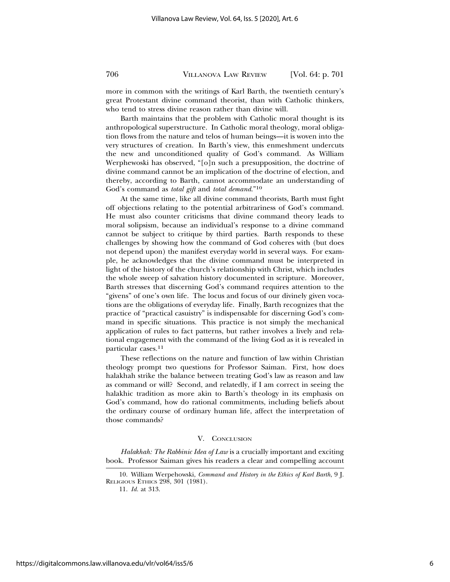more in common with the writings of Karl Barth, the twentieth century's great Protestant divine command theorist, than with Catholic thinkers,

who tend to stress divine reason rather than divine will. Barth maintains that the problem with Catholic moral thought is its anthropological superstructure. In Catholic moral theology, moral obligation flows from the nature and telos of human beings—it is woven into the very structures of creation. In Barth's view, this enmeshment undercuts the new and unconditioned quality of God's command. As William Werphewoski has observed, "[o]n such a presupposition, the doctrine of divine command cannot be an implication of the doctrine of election, and thereby, according to Barth, cannot accommodate an understanding of God's command as *total gift* and *total demand*."10

At the same time, like all divine command theorists, Barth must fight off objections relating to the potential arbitrariness of God's command. He must also counter criticisms that divine command theory leads to moral solipsism, because an individual's response to a divine command cannot be subject to critique by third parties. Barth responds to these challenges by showing how the command of God coheres with (but does not depend upon) the manifest everyday world in several ways. For example, he acknowledges that the divine command must be interpreted in light of the history of the church's relationship with Christ, which includes the whole sweep of salvation history documented in scripture. Moreover, Barth stresses that discerning God's command requires attention to the "givens" of one's own life. The locus and focus of our divinely given vocations are the obligations of everyday life. Finally, Barth recognizes that the practice of "practical casuistry" is indispensable for discerning God's command in specific situations. This practice is not simply the mechanical application of rules to fact patterns, but rather involves a lively and relational engagement with the command of the living God as it is revealed in particular cases.11

These reflections on the nature and function of law within Christian theology prompt two questions for Professor Saiman. First, how does halakhah strike the balance between treating God's law as reason and law as command or will? Second, and relatedly, if I am correct in seeing the halakhic tradition as more akin to Barth's theology in its emphasis on God's command, how do rational commitments, including beliefs about the ordinary course of ordinary human life, affect the interpretation of those commands?

#### V. CONCLUSION

*Halakhah: The Rabbinic Idea of Law* is a crucially important and exciting book. Professor Saiman gives his readers a clear and compelling account

<sup>10.</sup> William Werpehowski, *Command and History in the Ethics of Karl Barth*, 9 J. RELIGIOUS ETHICS 298, 301 (1981).

<sup>11.</sup> *Id.* at 313.